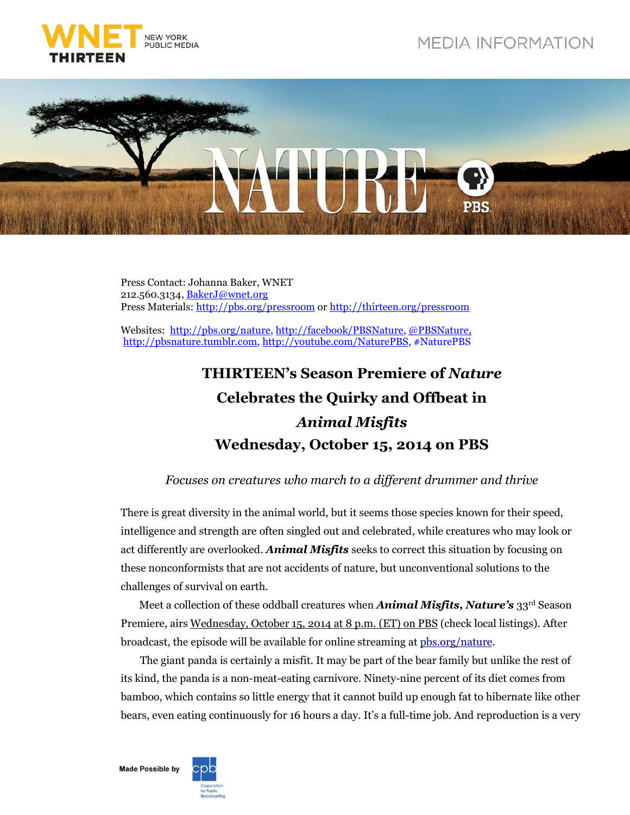



Press Contact: Johanna Baker, WNET 212.560.3134, [BakerJ@wnet.org](mailto:BakerJ@wnet.org) Press Materials: http:/[/pbs.org/pressroom](http://pressroom.pbs.org/) or http://[thirteen.org/pressroom](http://www.thirteen.org/pressroom)

Websites: http:/[/pbs.org/nature,](http://www.pbs.org/nature) http:/[/facebook/PBSNature,](http://www.facebook.com/PBSNature) [@PBSNature,](file://thirteen.org/departments/Communications/Commgrp/leed/Local%20Settings/Temporary%20Internet%20Files/leed/Local%20Settings/Documents%20and%20Settings/Murphy/Local%20Settings/Revealing%20the%20Leopard/Press%20Release/twitter.com/pbsnature) http:/[/pbsnature.](http://pbsnature.tumblr.com/)tumblr.co[m, http://youtube.com/NaturePBS,](file:///C:/Users/BakerJ/AppData/Local/Microsoft/Windows/Temporary%20Internet%20Files/Content.Outlook/OSX0GA2J/,%20http:/youtube.com/NaturePBS) #NaturePBS

## **THIRTEEN's Season Premiere of** *Nature* **Celebrates the Quirky and Offbeat in** *Animal Misfits* **Wednesday, October 15, 2014 on PBS**

## *Focuses on creatures who march to a different drummer and thrive*

There is great diversity in the animal world, but it seems those species known for their speed, intelligence and strength are often singled out and celebrated, while creatures who may look or act differently are overlooked. *Animal Misfits* seeks to correct this situation by focusing on these nonconformists that are not accidents of nature, but unconventional solutions to the challenges of survival on earth.

Meet a collection of these oddball creatures when *Animal Misfits, Nature's* 33rd Season Premiere, airs Wednesday, October 15, 2014 at 8 p.m. (ET) on PBS (check local listings). After broadcast, the episode will be available for online streaming at [pbs.org/nature.](http://www.pbs.org/wnet/nature/)

The giant panda is certainly a misfit. It may be part of the bear family but unlike the rest of its kind, the panda is a non-meat-eating carnivore. Ninety-nine percent of its diet comes from bamboo, which contains so little energy that it cannot build up enough fat to hibernate like other bears, even eating continuously for 16 hours a day. It's a full-time job. And reproduction is a very

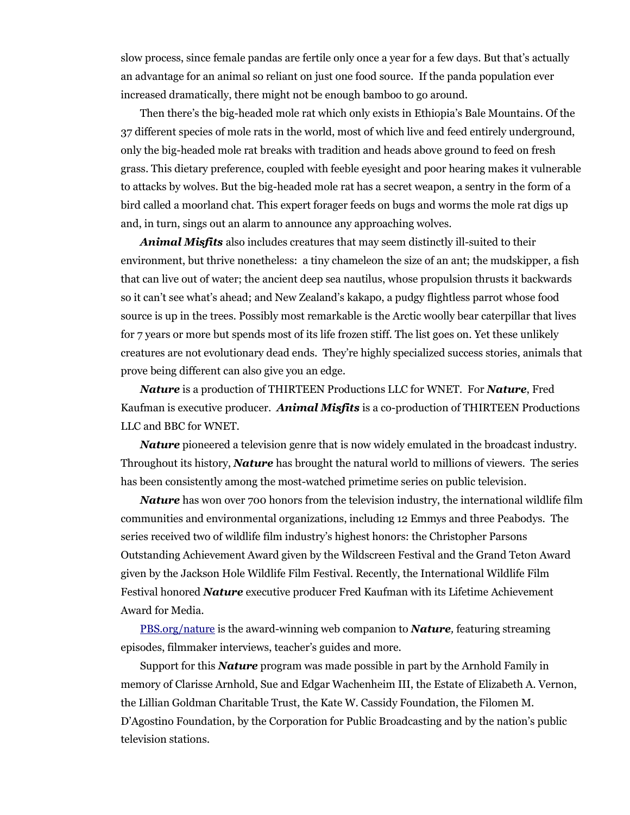slow process, since female pandas are fertile only once a year for a few days. But that's actually an advantage for an animal so reliant on just one food source. If the panda population ever increased dramatically, there might not be enough bamboo to go around.

Then there's the big-headed mole rat which only exists in Ethiopia's Bale Mountains. Of the 37 different species of mole rats in the world, most of which live and feed entirely underground, only the big-headed mole rat breaks with tradition and heads above ground to feed on fresh grass. This dietary preference, coupled with feeble eyesight and poor hearing makes it vulnerable to attacks by wolves. But the big-headed mole rat has a secret weapon, a sentry in the form of a bird called a moorland chat. This expert forager feeds on bugs and worms the mole rat digs up and, in turn, sings out an alarm to announce any approaching wolves.

*Animal Misfits* also includes creatures that may seem distinctly ill-suited to their environment, but thrive nonetheless: a tiny chameleon the size of an ant; the mudskipper, a fish that can live out of water; the ancient deep sea nautilus, whose propulsion thrusts it backwards so it can't see what's ahead; and New Zealand's kakapo, a pudgy flightless parrot whose food source is up in the trees. Possibly most remarkable is the Arctic woolly bear caterpillar that lives for 7 years or more but spends most of its life frozen stiff. The list goes on. Yet these unlikely creatures are not evolutionary dead ends. They're highly specialized success stories, animals that prove being different can also give you an edge.

*Nature* is a production of THIRTEEN Productions LLC for WNET. For *Nature*, Fred Kaufman is executive producer. *Animal Misfits* is a co-production of THIRTEEN Productions LLC and BBC for WNET.

*Nature* pioneered a television genre that is now widely emulated in the broadcast industry. Throughout its history, *Nature* has brought the natural world to millions of viewers. The series has been consistently among the most-watched primetime series on public television.

*Nature* has won over 700 honors from the television industry, the international wildlife film communities and environmental organizations, including 12 Emmys and three Peabodys. The series received two of wildlife film industry's highest honors: the Christopher Parsons Outstanding Achievement Award given by the Wildscreen Festival and the Grand Teton Award given by the Jackson Hole Wildlife Film Festival. Recently, the International Wildlife Film Festival honored *Nature* executive producer Fred Kaufman with its Lifetime Achievement Award for Media.

[PBS.org/nature](http://www.pbs.org/nature) is the award-winning web companion to *Nature,* featuring streaming episodes, filmmaker interviews, teacher's guides and more.

Support for this *Nature* program was made possible in part by the Arnhold Family in memory of Clarisse Arnhold, Sue and Edgar Wachenheim III, the Estate of Elizabeth A. Vernon, the Lillian Goldman Charitable Trust, the Kate W. Cassidy Foundation, the Filomen M. D'Agostino Foundation, by the Corporation for Public Broadcasting and by the nation's public television stations.